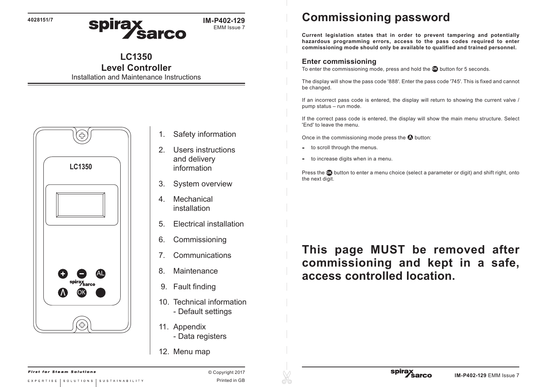**4028151/7**

spirax<br>Sarco **IM-P402-129** EMM Issue 7

## **LC1350**

## **Level Controller**

Installation and Maintenance Instructions



- 1. Safety information
- 2. Users instructions and delivery information
- 3. System overview
- 4. Mechanical installation
- 5. Electrical installation
- 6. Commissioning
- 7. Communications
- 8. Maintenance
- 9. Fault finding
- 10. Technical information - Default settings
- 11. Appendix - Data registers
- 12. Menu map

# **Commissioning password**

**Current legislation states that in order to prevent tampering and potentially hazardous programming errors, access to the pass codes required to enter commissioning mode should only be available to qualified and trained personnel.**

## **Enter commissioning**

To enter the commissioning mode, press and hold the **OK** button for 5 seconds.

The display will show the pass code '888'. Enter the pass code '745'. This is fixed and cannot be changed.

If an incorrect pass code is entered, the display will return to showing the current valve / pump status – run mode.

If the correct pass code is entered, the display will show the main menu structure. Select 'End' to leave the menu.

Once in the commissioning mode press the  $\Omega$  button:

- to scroll through the menus.
- to increase digits when in a menu.

Press the **<sup>O</sup>** button to enter a menu choice (select a parameter or digit) and shift right, onto the next digit.

## **This page MUST be removed after commissioning and kept in a safe, access controlled location.**

© Copyright 2017 Printed in GB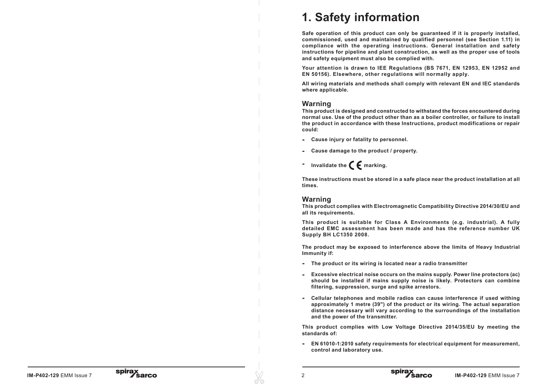## **1. Safety information**

**Safe operation of this product can only be guaranteed if it is properly installed, commissioned, used and maintained by qualified personnel (see Section 1.11) in compliance with the operating instructions. General installation and safety instructions for pipeline and plant construction, as well as the proper use of tools and safety equipment must also be complied with.**

**Your attention is drawn to IEE Regulations (BS 7671, EN 12953, EN 12952 and EN 50156). Elsewhere, other regulations will normally apply.**

**All wiring materials and methods shall comply with relevant EN and IEC standards where applicable.**

#### **Warning**

**This product is designed and constructed to withstand the forces encountered during normal use. Use of the product other than as a boiler controller, or failure to install the product in accordance with these Instructions, product modifications or repair could:**

- **- Cause injury or fatality to personnel.**
- **- Cause damage to the product / property.**
- **- Invalidate the**  $\epsilon$  marking.

**These instructions must be stored in a safe place near the product installation at all times.** 

#### **Warning**

**This product complies with Electromagnetic Compatibility Directive 2014/30/EU and all its requirements.**

**This product is suitable for Class A Environments (e.g. industrial). A fully detailed EMC assessment has been made and has the reference number UK Supply BH LC1350 2008.**

**The product may be exposed to interference above the limits of Heavy Industrial Immunity if:**

- **The product or its wiring is located near a radio transmitter**
- **Excessive electrical noise occurs on the mains supply. Power line protectors (ac) should be installed if mains supply noise is likely. Protectors can combine filtering, suppression, surge and spike arrestors.**
- **Cellular telephones and mobile radios can cause interference if used withing approximately 1 metre (39") of the product or its wiring. The actual separation distance necessary will vary according to the surroundings of the installation and the power of the transmitter.**

**This product complies with Low Voltage Directive 2014/35/EU by meeting the standards of:**

**- EN 61010-1:2010 safety requirements for electrical equipment for measurement, control and laboratory use.**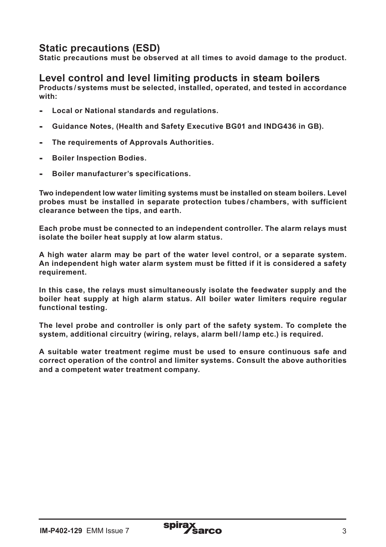## **Static precautions (ESD)**

**Static precautions must be observed at all times to avoid damage to the product.**

## **Level control and level limiting products in steam boilers**

**Products / systems must be selected, installed, operated, and tested in accordance with:**

- **- Local or National standards and regulations.**
- **- Guidance Notes, (Health and Safety Executive BG01 and INDG436 in GB).**
- **- The requirements of Approvals Authorities.**
- **- Boiler Inspection Bodies.**
- **- Boiler manufacturer's specifications.**

**Two independent low water limiting systems must be installed on steam boilers. Level probes must be installed in separate protection tubes / chambers, with sufficient clearance between the tips, and earth.**

**Each probe must be connected to an independent controller. The alarm relays must isolate the boiler heat supply at low alarm status.**

**A high water alarm may be part of the water level control, or a separate system. An independent high water alarm system must be fitted if it is considered a safety requirement.**

**In this case, the relays must simultaneously isolate the feedwater supply and the boiler heat supply at high alarm status. All boiler water limiters require regular functional testing.**

**The level probe and controller is only part of the safety system. To complete the system, additional circuitry (wiring, relays, alarm bell / lamp etc.) is required.** 

**A suitable water treatment regime must be used to ensure continuous safe and correct operation of the control and limiter systems. Consult the above authorities and a competent water treatment company.**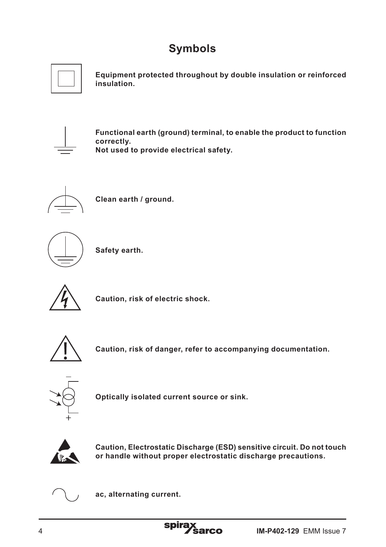## **Symbols**



**Equipment protected throughout by double insulation or reinforced insulation.**



**Functional earth (ground) terminal, to enable the product to function correctly. Not used to provide electrical safety.**



**Clean earth / ground.**



**Safety earth.**



**Caution, risk of electric shock.**



**Caution, risk of danger, refer to accompanying documentation.**



**Optically isolated current source or sink.**



**Caution, Electrostatic Discharge (ESD) sensitive circuit. Do not touch or handle without proper electrostatic discharge precautions.** 



**ac, alternating current.**

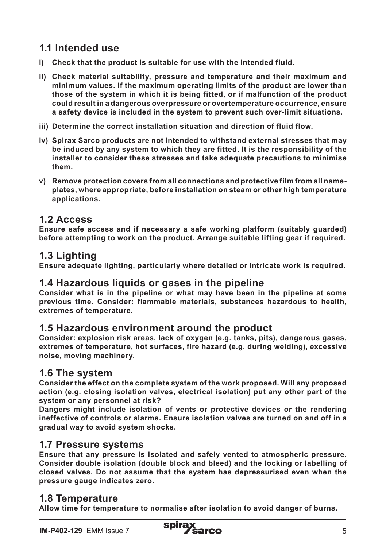## **1.1 Intended use**

- **i) Check that the product is suitable for use with the intended fluid.**
- **ii) Check material suitability, pressure and temperature and their maximum and minimum values. If the maximum operating limits of the product are lower than those of the system in which it is being fitted, or if malfunction of the product could result in a dangerous overpressure or overtemperature occurrence, ensure a safety device is included in the system to prevent such over-limit situations.**
- **iii) Determine the correct installation situation and direction of fluid flow.**
- **iv) Spirax Sarco products are not intended to withstand external stresses that may be induced by any system to which they are fitted. It is the responsibility of the installer to consider these stresses and take adequate precautions to minimise them.**
- **v) Remove protection covers from all connections and protective film from all nameplates, where appropriate, before installation on steam or other high temperature applications.**

## **1.2 Access**

**Ensure safe access and if necessary a safe working platform (suitably guarded) before attempting to work on the product. Arrange suitable lifting gear if required.**

## **1.3 Lighting**

**Ensure adequate lighting, particularly where detailed or intricate work is required.**

#### **1.4 Hazardous liquids or gases in the pipeline**

**Consider what is in the pipeline or what may have been in the pipeline at some previous time. Consider: flammable materials, substances hazardous to health, extremes of temperature.**

#### **1.5 Hazardous environment around the product**

**Consider: explosion risk areas, lack of oxygen (e.g. tanks, pits), dangerous gases, extremes of temperature, hot surfaces, fire hazard (e.g. during welding), excessive noise, moving machinery.**

### **1.6 The system**

**Consider the effect on the complete system of the work proposed. Will any proposed action (e.g. closing isolation valves, electrical isolation) put any other part of the system or any personnel at risk?** 

**Dangers might include isolation of vents or protective devices or the rendering ineffective of controls or alarms. Ensure isolation valves are turned on and off in a gradual way to avoid system shocks.**

#### **1.7 Pressure systems**

**Ensure that any pressure is isolated and safely vented to atmospheric pressure. Consider double isolation (double block and bleed) and the locking or labelling of closed valves. Do not assume that the system has depressurised even when the pressure gauge indicates zero.**

### **1.8 Temperature**

**Allow time for temperature to normalise after isolation to avoid danger of burns.**

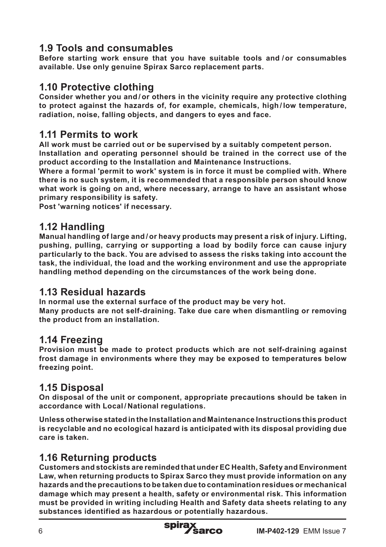## **1.9 Tools and consumables**

**Before starting work ensure that you have suitable tools and / or consumables available. Use only genuine Spirax Sarco replacement parts.**

### **1.10 Protective clothing**

**Consider whether you and / or others in the vicinity require any protective clothing to protect against the hazards of, for example, chemicals, high / low temperature, radiation, noise, falling objects, and dangers to eyes and face.**

## **1.11 Permits to work**

**All work must be carried out or be supervised by a suitably competent person. Installation and operating personnel should be trained in the correct use of the** 

**product according to the Installation and Maintenance Instructions. Where a formal 'permit to work' system is in force it must be complied with. Where there is no such system, it is recommended that a responsible person should know what work is going on and, where necessary, arrange to have an assistant whose primary responsibility is safety.**

**Post 'warning notices' if necessary.**

## **1.12 Handling**

**Manual handling of large and / or heavy products may present a risk of injury. Lifting, pushing, pulling, carrying or supporting a load by bodily force can cause injury particularly to the back. You are advised to assess the risks taking into account the task, the individual, the load and the working environment and use the appropriate handling method depending on the circumstances of the work being done.**

## **1.13 Residual hazards**

**In normal use the external surface of the product may be very hot. Many products are not self-draining. Take due care when dismantling or removing the product from an installation.**

## **1.14 Freezing**

**Provision must be made to protect products which are not self-draining against frost damage in environments where they may be exposed to temperatures below freezing point.**

## **1.15 Disposal**

**On disposal of the unit or component, appropriate precautions should be taken in accordance with Local / National regulations.**

**Unless otherwise stated in the Installation and Maintenance Instructions this product is recyclable and no ecological hazard is anticipated with its disposal providing due care is taken.**

## **1.16 Returning products**

**Customers and stockists are reminded that under EC Health, Safety and Environment Law, when returning products to Spirax Sarco they must provide information on any hazards and the precautions to be taken due to contamination residues or mechanical damage which may present a health, safety or environmental risk. This information must be provided in writing including Health and Safety data sheets relating to any substances identified as hazardous or potentially hazardous.**

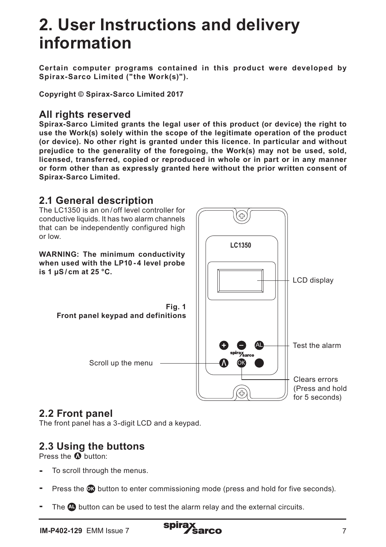## **2. User Instructions and delivery information**

**Certain computer programs contained in this product were developed by Spirax-Sarco Limited ("the Work(s)").**

**Copyright © Spirax-Sarco Limited 2017**

### **All rights reserved**

**Spirax-Sarco Limited grants the legal user of this product (or device) the right to use the Work(s) solely within the scope of the legitimate operation of the product (or device). No other right is granted under this licence. In particular and without prejudice to the generality of the foregoing, the Work(s) may not be used, sold, licensed, transferred, copied or reproduced in whole or in part or in any manner or form other than as expressly granted here without the prior written consent of Spirax-Sarco Limited.**

### **2.1 General description**



## **2.2 Front panel**

The front panel has a 3-digit LCD and a keypad.

## **2.3 Using the buttons**

Press the  $\mathbf{\Phi}$  button:

- To scroll through the menus.
- Press the **OK** button to enter commissioning mode (press and hold for five seconds).
- The  $\Omega$  button can be used to test the alarm relay and the external circuits.

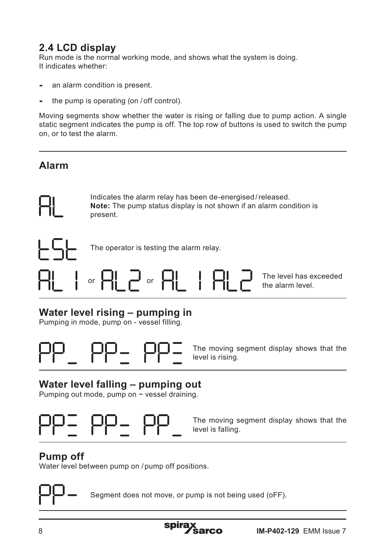## **2.4 LCD display**

Run mode is the normal working mode, and shows what the system is doing. It indicates whether:

- an alarm condition is present.
- the pump is operating (on / off control).

Moving segments show whether the water is rising or falling due to pump action. A single static segment indicates the pump is off. The top row of buttons is used to switch the pump on, or to test the alarm.

## **Alarm**



Indicates the alarm relay has been de-energised /released. **Note:** The pump status display is not shown if an alarm condition is present.



The operator is testing the alarm relay.



 $\int$  The level has exceeded the alarm level.

## **Water level rising – pumping in**

Pumping in mode, pump on - vessel filling.



The moving segment display shows that the level is rising.

## **Water level falling – pumping out**

Pumping out mode, pump on  $\sim$  vessel draining.

- PP- PI

The moving segment display shows that the level is falling.

## **Pump off**

Water level between pump on / pump off positions.



Segment does not move, or pump is not being used (oFF).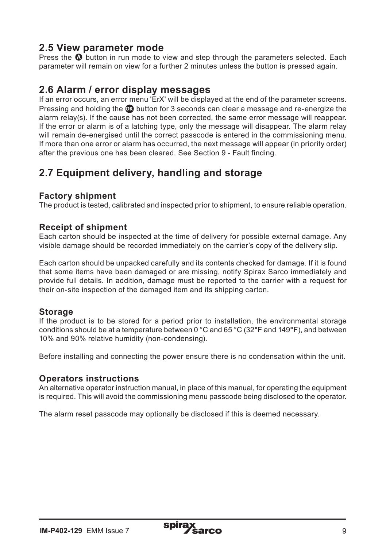## **2.5 View parameter mode**

Press the  $\Phi$  button in run mode to view and step through the parameters selected. Each parameter will remain on view for a further 2 minutes unless the button is pressed again.

### **2.6 Alarm / error display messages**

If an error occurs, an error menu 'ErX' will be displayed at the end of the parameter screens. Pressing and holding the **O** button for 3 seconds can clear a message and re-energize the alarm relay(s). If the cause has not been corrected, the same error message will reappear. If the error or alarm is of a latching type, only the message will disappear. The alarm relay will remain de-energised until the correct passcode is entered in the commissioning menu. If more than one error or alarm has occurred, the next message will appear (in priority order) after the previous one has been cleared. See Section 9 - Fault finding.

## **2.7 Equipment delivery, handling and storage**

#### **Factory shipment**

The product is tested, calibrated and inspected prior to shipment, to ensure reliable operation.

#### **Receipt of shipment**

Each carton should be inspected at the time of delivery for possible external damage. Any visible damage should be recorded immediately on the carrier's copy of the delivery slip.

Each carton should be unpacked carefully and its contents checked for damage. If it is found that some items have been damaged or are missing, notify Spirax Sarco immediately and provide full details. In addition, damage must be reported to the carrier with a request for their on-site inspection of the damaged item and its shipping carton.

#### **Storage**

If the product is to be stored for a period prior to installation, the environmental storage conditions should be at a temperature between 0 °C and 65 °C (32**°**F and 149**°**F), and between 10% and 90% relative humidity (non-condensing).

Before installing and connecting the power ensure there is no condensation within the unit.

#### **Operators instructions**

An alternative operator instruction manual, in place of this manual, for operating the equipment is required. This will avoid the commissioning menu passcode being disclosed to the operator.

The alarm reset passcode may optionally be disclosed if this is deemed necessary.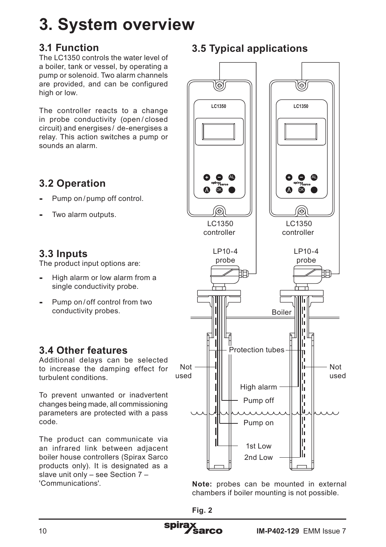# **3. System overview**

## **3.1 Function**

The LC1350 controls the water level of a boiler, tank or vessel, by operating a pump or solenoid. Two alarm channels are provided, and can be configured high or low.

The controller reacts to a change in probe conductivity (open / closed circuit) and energises / de-energises a relay. This action switches a pump or sounds an alarm.

## **3.2 Operation**

- Pump on/pump off control.
- **-** Two alarm outputs.

## **3.3 Inputs**

The product input options are:

- **-** High alarm or low alarm from a single conductivity probe.
- **-** Pump on / off control from two conductivity probes.

## **3.4 Other features**

Additional delays can be selected to increase the damping effect for turbulent conditions.

To prevent unwanted or inadvertent changes being made, all commissioning parameters are protected with a pass code.

The product can communicate via an infrared link between adjacent boiler house controllers (Spirax Sarco products only). It is designated as a slave unit only – see Section 7 –





'Communications'. **Note:** probes can be mounted in external chambers if boiler mounting is not possible.

**Fig. 2**

spira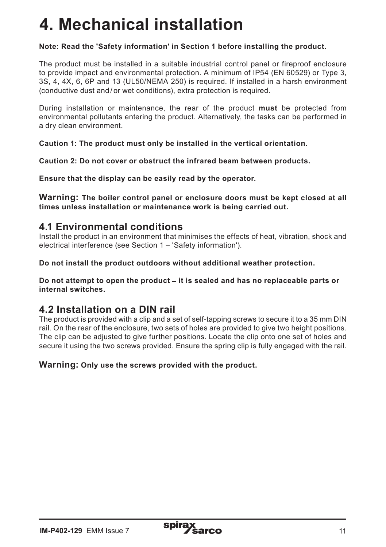## **4. Mechanical installation**

#### **Note: Read the 'Safety information' in Section 1 before installing the product.**

The product must be installed in a suitable industrial control panel or fireproof enclosure to provide impact and environmental protection. A minimum of IP54 (EN 60529) or Type 3, 3S, 4, 4X, 6, 6P and 13 (UL50/NEMA 250) is required. If installed in a harsh environment (conductive dust and / or wet conditions), extra protection is required.

During installation or maintenance, the rear of the product **must** be protected from environmental pollutants entering the product. Alternatively, the tasks can be performed in a dry clean environment.

**Caution 1: The product must only be installed in the vertical orientation.**

**Caution 2: Do not cover or obstruct the infrared beam between products.**

**Ensure that the display can be easily read by the operator.**

**Warning: The boiler control panel or enclosure doors must be kept closed at all times unless installation or maintenance work is being carried out.**

#### **4.1 Environmental conditions**

Install the product in an environment that minimises the effects of heat, vibration, shock and electrical interference (see Section 1 - 'Safety information').

**Do not install the product outdoors without additional weather protection.**

**Do not attempt to open the product** - **it is sealed and has no replaceable parts or internal switches.**

### **4.2 Installation on a DIN rail**

The product is provided with a clip and a set of self-tapping screws to secure it to a 35 mm DIN rail. On the rear of the enclosure, two sets of holes are provided to give two height positions. The clip can be adjusted to give further positions. Locate the clip onto one set of holes and secure it using the two screws provided. Ensure the spring clip is fully engaged with the rail.

**Warning: Only use the screws provided with the product.**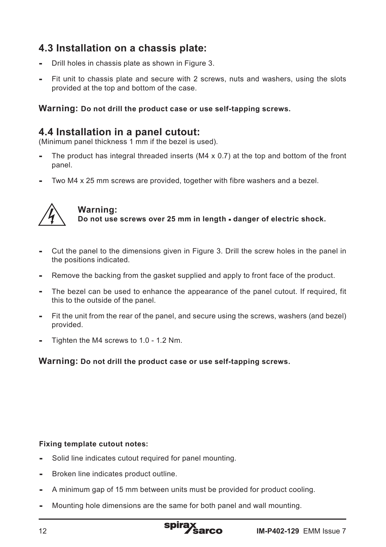## **4.3 Installation on a chassis plate:**

- Drill holes in chassis plate as shown in Figure 3.
- Fit unit to chassis plate and secure with 2 screws, nuts and washers, using the slots provided at the top and bottom of the case.

#### **Warning: Do not drill the product case or use self-tapping screws.**

### **4.4 Installation in a panel cutout:**

(Minimum panel thickness 1 mm if the bezel is used).

- The product has integral threaded inserts (M4 x 0.7) at the top and bottom of the front panel.
- Two M4 x 25 mm screws are provided, together with fibre washers and a bezel.



### **Warning:**

**Do not use screws over 25 mm in length - danger of electric shock.**

- Cut the panel to the dimensions given in Figure 3. Drill the screw holes in the panel in the positions indicated.
- Remove the backing from the gasket supplied and apply to front face of the product.
- The bezel can be used to enhance the appearance of the panel cutout. If required, fit this to the outside of the panel.
- Fit the unit from the rear of the panel, and secure using the screws, washers (and bezel) provided.
- Tighten the M4 screws to 1.0 1.2 Nm.

**Warning: Do not drill the product case or use self-tapping screws.** 

#### **Fixing template cutout notes:**

- Solid line indicates cutout required for panel mounting.
- Broken line indicates product outline.
- A minimum gap of 15 mm between units must be provided for product cooling.
- Mounting hole dimensions are the same for both panel and wall mounting.

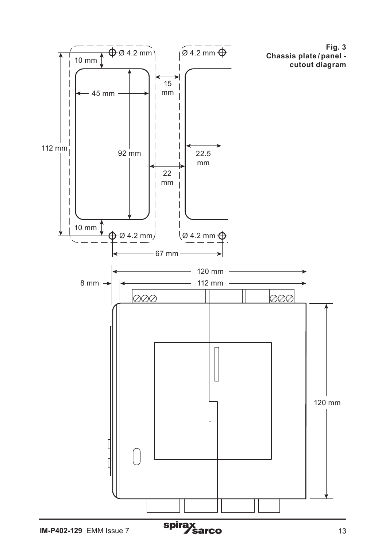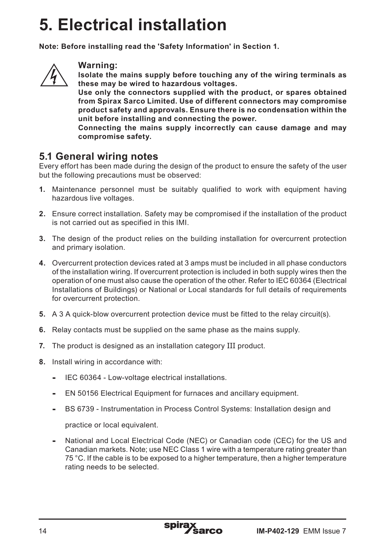## **5. Electrical installation**

**Note: Before installing read the 'Safety Information' in Section 1.**



#### **Warning:**

**Isolate the mains supply before touching any of the wiring terminals as these may be wired to hazardous voltages.**

**Use only the connectors supplied with the product, or spares obtained from Spirax Sarco Limited. Use of different connectors may compromise product safety and approvals. Ensure there is no condensation within the unit before installing and connecting the power.**

**Connecting the mains supply incorrectly can cause damage and may compromise safety.**

## **5.1 General wiring notes**

Every effort has been made during the design of the product to ensure the safety of the user but the following precautions must be observed:

- **1.** Maintenance personnel must be suitably qualified to work with equipment having hazardous live voltages.
- **2.** Ensure correct installation. Safety may be compromised if the installation of the product is not carried out as specified in this IMI.
- **3.** The design of the product relies on the building installation for overcurrent protection and primary isolation.
- **4.** Overcurrent protection devices rated at 3 amps must be included in all phase conductors of the installation wiring. If overcurrent protection is included in both supply wires then the operation of one must also cause the operation of the other. Refer to IEC 60364 (Electrical Installations of Buildings) or National or Local standards for full details of requirements for overcurrent protection.
- **5.** A 3 A quick-blow overcurrent protection device must be fitted to the relay circuit(s).
- **6.** Relay contacts must be supplied on the same phase as the mains supply.
- **7.** The product is designed as an installation category III product.
- **8.** Install wiring in accordance with:
	- IEC 60364 Low-voltage electrical installations.
	- **-** EN 50156 Electrical Equipment for furnaces and ancillary equipment.
	- **-** BS 6739 Instrumentation in Process Control Systems: Installation design and

practice or local equivalent.

**-** National and Local Electrical Code (NEC) or Canadian code (CEC) for the US and Canadian markets. Note; use NEC Class 1 wire with a temperature rating greater than 75 °C. If the cable is to be exposed to a higher temperature, then a higher temperature rating needs to be selected.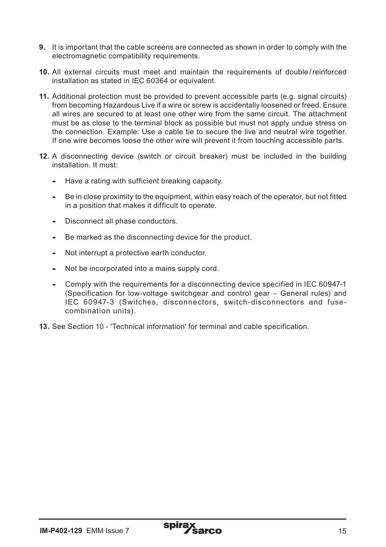- **9.** It is important that the cable screens are connected as shown in order to comply with the electromagnetic compatibility requirements.
- **10.** All external circuits must meet and maintain the requirements of double /reinforced installation as stated in IEC 60364 or equivalent.
- **11.** Additional protection must be provided to prevent accessible parts (e.g. signal circuits) from becoming Hazardous Live if a wire or screw is accidentally loosened or freed. Ensure all wires are secured to at least one other wire from the same circuit. The attachment must be as close to the terminal block as possible but must not apply undue stress on the connection. Example: Use a cable tie to secure the live and neutral wire together. If one wire becomes loose the other wire will prevent it from touching accessible parts.
- **12.** A disconnecting device (switch or circuit breaker) must be included in the building installation. It must:
	- **-** Have a rating with sufficient breaking capacity.
	- **-** Be in close proximity to the equipment, within easy reach of the operator, but not fitted in a position that makes it difficult to operate.
	- **-** Disconnect all phase conductors.
	- **-** Be marked as the disconnecting device for the product.
	- **-** Not interrupt a protective earth conductor.
	- **-** Not be incorporated into a mains supply cord.
	- **-** Comply with the requirements for a disconnecting device specified in IEC 60947-1 (Specification for low-voltage switchgear and control gear - General rules) and IEC 60947-3 (Switches, disconnectors, switch-disconnectors and fusecombination units).
- **13.** See Section 10 'Technical information' for terminal and cable specification.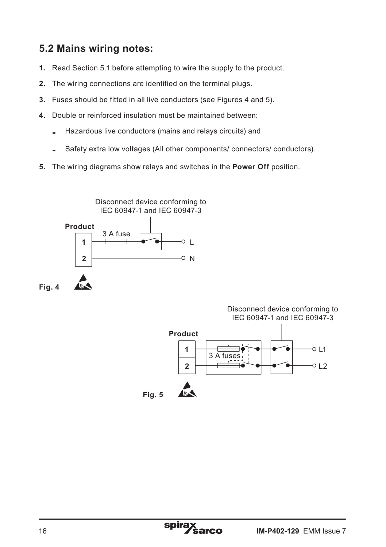## **5.2 Mains wiring notes:**

- **1.** Read Section 5.1 before attempting to wire the supply to the product.
- **2.** The wiring connections are identified on the terminal plugs.
- **3.** Fuses should be fitted in all live conductors (see Figures 4 and 5).
- **4.** Double or reinforced insulation must be maintained between:
	- **-** Hazardous live conductors (mains and relays circuits) and
	- **-** Safety extra low voltages (All other components/ connectors/ conductors).
- **5.** The wiring diagrams show relays and switches in the **Power Off** position.





Disconnect device conforming to IEC 60947-1 and IEC 60947-3

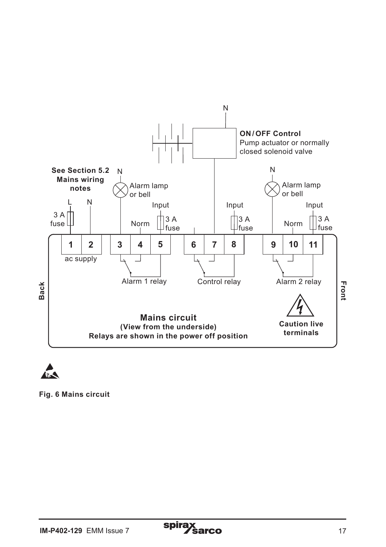



**Fig. 6 Mains circuit**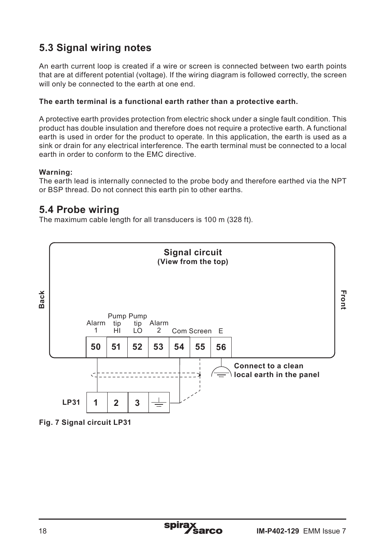## **5.3 Signal wiring notes**

An earth current loop is created if a wire or screen is connected between two earth points that are at different potential (voltage). If the wiring diagram is followed correctly, the screen will only be connected to the earth at one end.

#### **The earth terminal is a functional earth rather than a protective earth.**

A protective earth provides protection from electric shock under a single fault condition. This product has double insulation and therefore does not require a protective earth. A functional earth is used in order for the product to operate. In this application, the earth is used as a sink or drain for any electrical interference. The earth terminal must be connected to a local earth in order to conform to the EMC directive.

#### **Warning:**

The earth lead is internally connected to the probe body and therefore earthed via the NPT or BSP thread. Do not connect this earth pin to other earths.

## **5.4 Probe wiring**

The maximum cable length for all transducers is 100 m (328 ft).



**Fig. 7 Signal circuit LP31**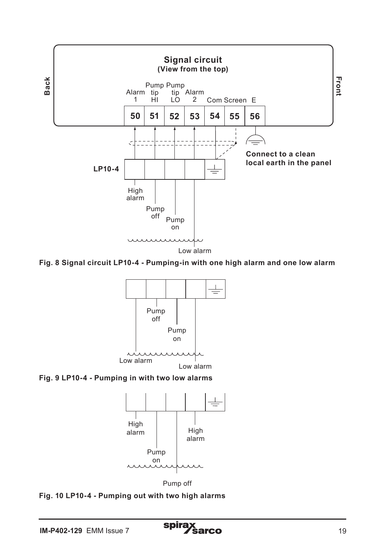

**Fig. 8 Signal circuit LP10-4 - Pumping-in with one high alarm and one low alarm**



**Fig. 9 LP10-4 - Pumping in with two low alarms**





**Fig. 10 LP10-4 - Pumping out with two high alarms**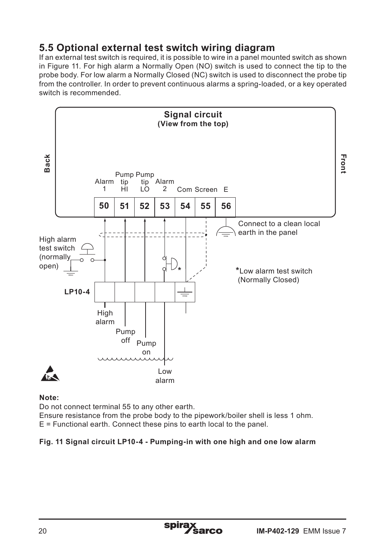## **5.5 Optional external test switch wiring diagram**

If an external test switch is required, it is possible to wire in a panel mounted switch as shown in Figure 11. For high alarm a Normally Open (NO) switch is used to connect the tip to the probe body. For low alarm a Normally Closed (NC) switch is used to disconnect the probe tip from the controller. In order to prevent continuous alarms a spring-loaded, or a key operated switch is recommended.



**Note:**

Do not connect terminal 55 to any other earth.

Ensure resistance from the probe body to the pipework/boiler shell is less 1 ohm. E = Functional earth. Connect these pins to earth local to the panel.

#### **Fig. 11 Signal circuit LP10-4 - Pumping-in with one high and one low alarm**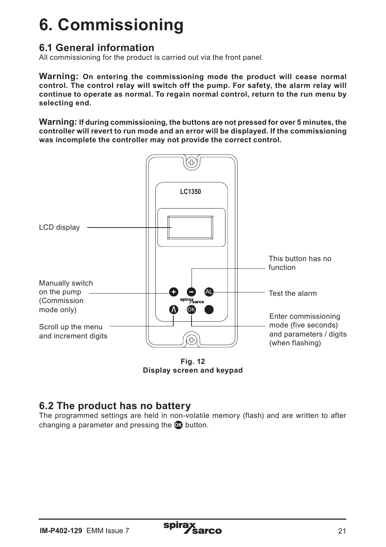## **6. Commissioning**

## **6.1 General information**

All commissioning for the product is carried out via the front panel.

**Warning: On entering the commissioning mode the product will cease normal control. The control relay will switch off the pump. For safety, the alarm relay will continue to operate as normal. To regain normal control, return to the run menu by selecting end.** 

**Warning: If during commissioning, the buttons are not pressed for over 5 minutes, the controller will revert to run mode and an error will be displayed. If the commissioning was incomplete the controller may not provide the correct control.**



**Fig. 12 Display screen and keypad**

## **6.2 The product has no battery**

The programmed settings are held in non-volatile memory (flash) and are written to after changing a parameter and pressing the **OC** button.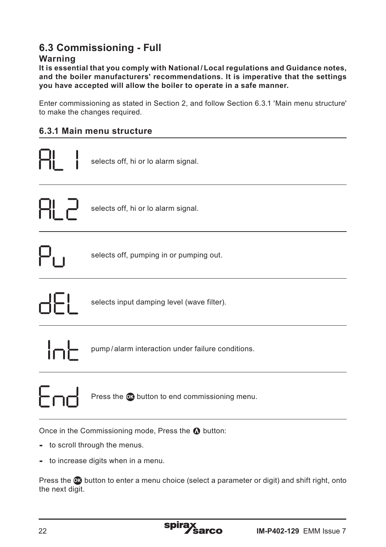## **6.3 Commissioning - Full**

#### **Warning**

**It is essential that you comply with National / Local regulations and Guidance notes, and the boiler manufacturers' recommendations. It is imperative that the settings you have accepted will allow the boiler to operate in a safe manner.**

Enter commissioning as stated in Section 2, and follow Section 6.3.1 'Main menu structure' to make the changes required.

#### **6.3.1 Main menu structure**



Once in the Commissioning mode, Press the  $\Omega$  button:

- **-** to scroll through the menus.
- **-** to increase digits when in a menu.

Press the **OB** button to enter a menu choice (select a parameter or digit) and shift right, onto the next digit.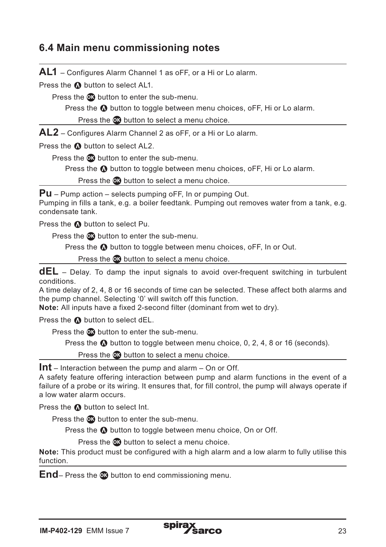## **6.4 Main menu commissioning notes**

**AL1** – Configures Alarm Channel 1 as oFF, or a Hi or Lo alarm.

Press the  $\Omega$  button to select AL1.

Press the **OB** button to enter the sub-menu.

Press the  $\Omega$  button to toggle between menu choices, oFF. Hi or Lo alarm.

Press the **OK** button to select a menu choice.

**AL2** – Configures Alarm Channel 2 as oFF, or a Hi or Lo alarm.

Press the **@** button to select AL2.

Press the **OK** button to enter the sub-menu.

Press the  $\Omega$  button to toggle between menu choices, oFF, Hi or Lo alarm.

Press the **OK** button to select a menu choice.

**Pu** – Pump action – selects pumping oFF, In or pumping Out.

Pumping in fills a tank, e.g. a boiler feedtank. Pumping out removes water from a tank, e.g. condensate tank.

Press the  $\Omega$  button to select Pu.

Press the **OC** button to enter the sub-menu.

Press the  $\Omega$  button to toggle between menu choices, oFF, In or Out.

Press the **OK** button to select a menu choice.

**dEL** – Delay. To damp the input signals to avoid over-frequent switching in turbulent conditions.

A time delay of 2, 4, 8 or 16 seconds of time can be selected. These affect both alarms and the pump channel. Selecting '0' will switch off this function.

**Note:** All inputs have a fixed 2-second filter (dominant from wet to dry).

Press the  $\Omega$  button to select dEL.

Press the **OK** button to enter the sub-menu.

Press the **O** button to toggle between menu choice, 0, 2, 4, 8 or 16 (seconds).

Press the **OK** button to select a menu choice.

**Int** – Interaction between the pump and alarm – On or Off.

A safety feature offering interaction between pump and alarm functions in the event of a failure of a probe or its wiring. It ensures that, for fill control, the pump will always operate if a low water alarm occurs.

Press the  $\Omega$  button to select Int.

Press the **OK** button to enter the sub-menu.

Press the  $\Omega$  button to toggle between menu choice, On or Off.

Press the **OK** button to select a menu choice.

**Note:** This product must be configured with a high alarm and a low alarm to fully utilise this function.

**End**– Press the **OK** button to end commissioning menu.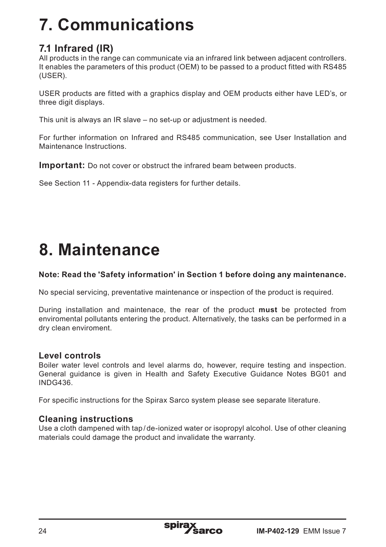# **7. Communications**

## **7.1 Infrared (IR)**

All products in the range can communicate via an infrared link between adjacent controllers. It enables the parameters of this product (OEM) to be passed to a product fitted with RS485 (USER).

USER products are fitted with a graphics display and OEM products either have LED's, or three digit displays.

This unit is always an IR slave – no set-up or adjustment is needed.

For further information on Infrared and RS485 communication, see User Installation and Maintenance Instructions.

**Important:** Do not cover or obstruct the infrared beam between products.

See Section 11 - Appendix-data registers for further details.

## **8. Maintenance**

#### **Note: Read the 'Safety information' in Section 1 before doing any maintenance.**

No special servicing, preventative maintenance or inspection of the product is required.

During installation and maintenace, the rear of the product **must** be protected from enviromental pollutants entering the product. Alternatively, the tasks can be performed in a dry clean enviroment.

#### **Level controls**

Boiler water level controls and level alarms do, however, require testing and inspection. General guidance is given in Health and Safety Executive Guidance Notes BG01 and INDG436.

For specific instructions for the Spirax Sarco system please see separate literature.

#### **Cleaning instructions**

Use a cloth dampened with tap / de-ionized water or isopropyl alcohol. Use of other cleaning materials could damage the product and invalidate the warranty.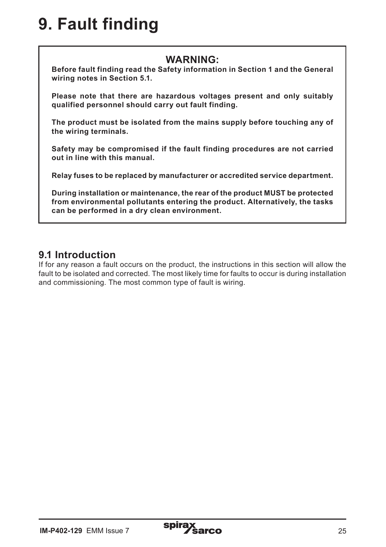# **9. Fault finding**

### **WARNING:**

**Before fault finding read the Safety information in Section 1 and the General wiring notes in Section 5.1.**

**Please note that there are hazardous voltages present and only suitably qualified personnel should carry out fault finding.**

**The product must be isolated from the mains supply before touching any of the wiring terminals.**

**Safety may be compromised if the fault finding procedures are not carried out in line with this manual.**

**Relay fuses to be replaced by manufacturer or accredited service department.**

**During installation or maintenance, the rear of the product MUST be protected from environmental pollutants entering the product. Alternatively, the tasks can be performed in a dry clean environment.**

## **9.1 Introduction**

If for any reason a fault occurs on the product, the instructions in this section will allow the fault to be isolated and corrected. The most likely time for faults to occur is during installation and commissioning. The most common type of fault is wiring.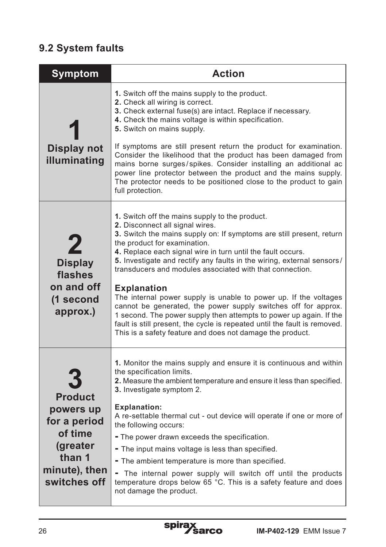## **9.2 System faults**

| <b>Symptom</b>                                                                                                | <b>Action</b>                                                                                                                                                                                                                                                                                                                                                                                                                                                                                                                                                                                                                                                                                                                                                              |
|---------------------------------------------------------------------------------------------------------------|----------------------------------------------------------------------------------------------------------------------------------------------------------------------------------------------------------------------------------------------------------------------------------------------------------------------------------------------------------------------------------------------------------------------------------------------------------------------------------------------------------------------------------------------------------------------------------------------------------------------------------------------------------------------------------------------------------------------------------------------------------------------------|
| <b>Display not</b><br>illuminating                                                                            | 1. Switch off the mains supply to the product.<br>2. Check all wiring is correct.<br>3. Check external fuse(s) are intact. Replace if necessary.<br>4. Check the mains voltage is within specification.<br>5. Switch on mains supply.<br>If symptoms are still present return the product for examination.<br>Consider the likelihood that the product has been damaged from<br>mains borne surges/spikes. Consider installing an additional ac<br>power line protector between the product and the mains supply.<br>The protector needs to be positioned close to the product to gain<br>full protection.                                                                                                                                                                 |
| $\mathbf 2$<br><b>Display</b><br>flashes<br>on and off<br>(1 second<br>approx.)                               | 1. Switch off the mains supply to the product.<br>2. Disconnect all signal wires.<br>3. Switch the mains supply on: If symptoms are still present, return<br>the product for examination.<br>4. Replace each signal wire in turn until the fault occurs.<br>5. Investigate and rectify any faults in the wiring, external sensors/<br>transducers and modules associated with that connection.<br><b>Explanation</b><br>The internal power supply is unable to power up. If the voltages<br>cannot be generated, the power supply switches off for approx.<br>1 second. The power supply then attempts to power up again. If the<br>fault is still present, the cycle is repeated until the fault is removed.<br>This is a safety feature and does not damage the product. |
| <b>Product</b><br>powers up<br>for a period<br>of time<br>(greater<br>than 1<br>minute), then<br>switches off | 1. Monitor the mains supply and ensure it is continuous and within<br>the specification limits.<br>2. Measure the ambient temperature and ensure it less than specified.<br>3. Investigate symptom 2.<br><b>Explanation:</b><br>A re-settable thermal cut - out device will operate if one or more of<br>the following occurs:<br>- The power drawn exceeds the specification.<br>- The input mains voltage is less than specified.<br>- The ambient temperature is more than specified.<br>The internal power supply will switch off until the products<br>temperature drops below 65 °C. This is a safety feature and does<br>not damage the product.                                                                                                                    |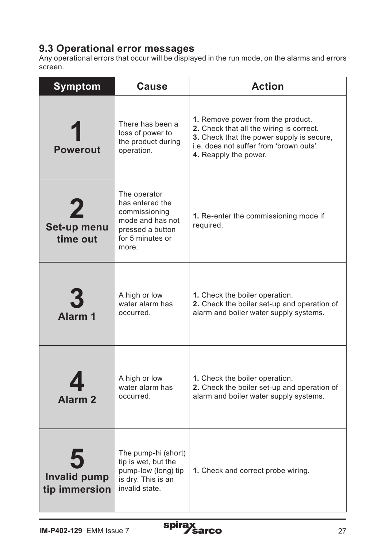## **9.3 Operational error messages**

Any operational errors that occur will be displayed in the run mode, on the alarms and errors screen.

| <b>Symptom</b>                       | <b>Cause</b>                                                                                                          | <b>Action</b>                                                                                                                                                                                  |
|--------------------------------------|-----------------------------------------------------------------------------------------------------------------------|------------------------------------------------------------------------------------------------------------------------------------------------------------------------------------------------|
| <b>Powerout</b>                      | There has been a<br>loss of power to<br>the product during<br>operation.                                              | 1. Remove power from the product.<br>2. Check that all the wiring is correct.<br>3. Check that the power supply is secure,<br>i.e. does not suffer from 'brown outs'.<br>4. Reapply the power. |
| 2<br>Set-up menu<br>time out         | The operator<br>has entered the<br>commissioning<br>mode and has not<br>pressed a button<br>for 5 minutes or<br>more. | 1. Re-enter the commissioning mode if<br>required.                                                                                                                                             |
| Alarm <sub>1</sub>                   | A high or low<br>water alarm has<br>occurred.                                                                         | 1. Check the boiler operation.<br>2. Check the boiler set-up and operation of<br>alarm and boiler water supply systems.                                                                        |
| Alarm <sub>2</sub>                   | A high or low<br>water alarm has<br>occurred.                                                                         | 1. Check the boiler operation.<br>2. Check the boiler set-up and operation of<br>alarm and boiler water supply systems.                                                                        |
| <b>Invalid pump</b><br>tip immersion | The pump-hi (short)<br>tip is wet, but the<br>pump-low (long) tip<br>is dry. This is an<br>invalid state.             | 1. Check and correct probe wiring.                                                                                                                                                             |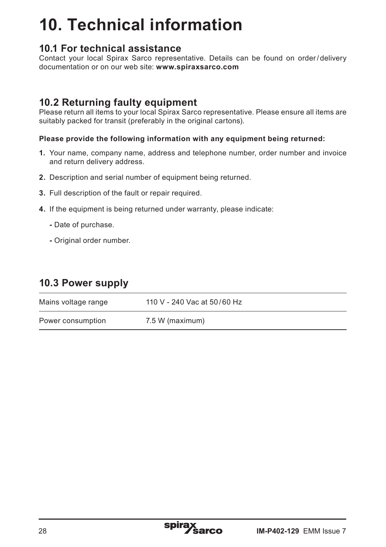# **10. Technical information**

## **10.1 For technical assistance**

Contact your local Spirax Sarco representative. Details can be found on order/ delivery documentation or on our web site: **www.spiraxsarco.com**

## **10.2 Returning faulty equipment**

Please return all items to your local Spirax Sarco representative. Please ensure all items are suitably packed for transit (preferably in the original cartons).

#### **Please provide the following information with any equipment being returned:**

- **1.** Your name, company name, address and telephone number, order number and invoice and return delivery address.
- **2.** Description and serial number of equipment being returned.
- **3.** Full description of the fault or repair required.
- **4.** If the equipment is being returned under warranty, please indicate:
	- Date of purchase.
	- Original order number.

## **10.3 Power supply**

| Mains voltage range | 110 V - 240 Vac at 50/60 Hz |
|---------------------|-----------------------------|
| Power consumption   | 7.5 W (maximum)             |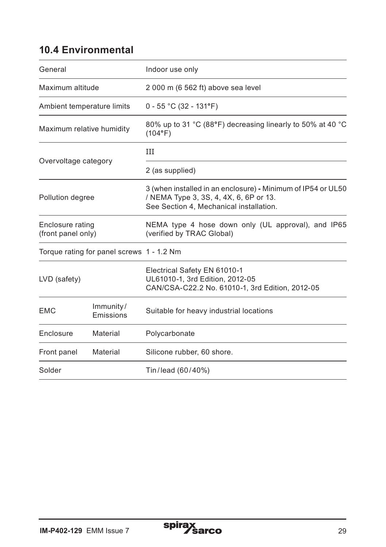## **10.4 Environmental**

| General                                   |  | Indoor use only                                                                                                                                   |
|-------------------------------------------|--|---------------------------------------------------------------------------------------------------------------------------------------------------|
| Maximum altitude                          |  | 2 000 m (6 562 ft) above sea level                                                                                                                |
| Ambient temperature limits                |  | $0 - 55$ °C (32 - 131°F)                                                                                                                          |
| Maximum relative humidity                 |  | 80% up to 31 °C (88°F) decreasing linearly to 50% at 40 °C<br>$(104^{\circ}F)$                                                                    |
| Overvoltage category                      |  | Ш                                                                                                                                                 |
|                                           |  | 2 (as supplied)                                                                                                                                   |
| Pollution degree                          |  | 3 (when installed in an enclosure) - Minimum of IP54 or UL50<br>/ NEMA Type 3, 3S, 4, 4X, 6, 6P or 13.<br>See Section 4, Mechanical installation. |
| Enclosure rating<br>(front panel only)    |  | NEMA type 4 hose down only (UL approval), and IP65<br>(verified by TRAC Global)                                                                   |
| Torque rating for panel screws 1 - 1.2 Nm |  |                                                                                                                                                   |
| LVD (safety)                              |  | Electrical Safety EN 61010-1<br>UL61010-1, 3rd Edition, 2012-05<br>CAN/CSA-C22.2 No. 61010-1, 3rd Edition, 2012-05                                |
| Immunity/<br><b>EMC</b><br>Emissions      |  | Suitable for heavy industrial locations                                                                                                           |
| Enclosure<br>Material                     |  | Polycarbonate                                                                                                                                     |
| Front panel<br>Material                   |  | Silicone rubber, 60 shore.                                                                                                                        |
| Solder                                    |  | Tin/lead (60/40%)                                                                                                                                 |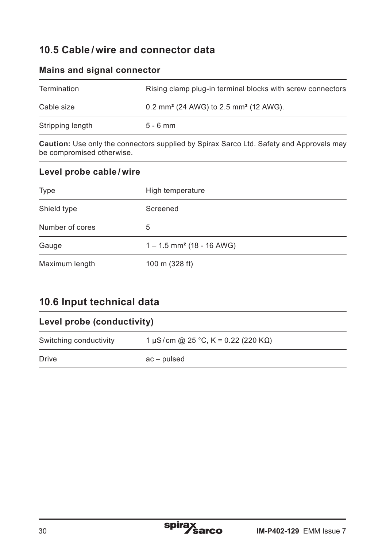## **10.5 Cable /wire and connector data**

#### **Mains and signal connector**

| Termination      | Rising clamp plug-in terminal blocks with screw connectors      |
|------------------|-----------------------------------------------------------------|
| Cable size       | $0.2$ mm <sup>2</sup> (24 AWG) to 2.5 mm <sup>2</sup> (12 AWG). |
| Stripping length | $5 - 6$ mm                                                      |

**Caution:** Use only the connectors supplied by Spirax Sarco Ltd. Safety and Approvals may be compromised otherwise.

#### **Level probe cable / wire**

| Type            | High temperature                        |
|-----------------|-----------------------------------------|
| Shield type     | Screened                                |
| Number of cores | 5                                       |
| Gauge           | $1 - 1.5$ mm <sup>2</sup> (18 - 16 AWG) |
| Maximum length  | 100 m (328 ft)                          |

## **10.6 Input technical data**

## **Level probe (conductivity)** Switching conductivity  $1 μS/cm @ 25 °C, K = 0.22 (220 KΩ)$ Drive ac – pulsed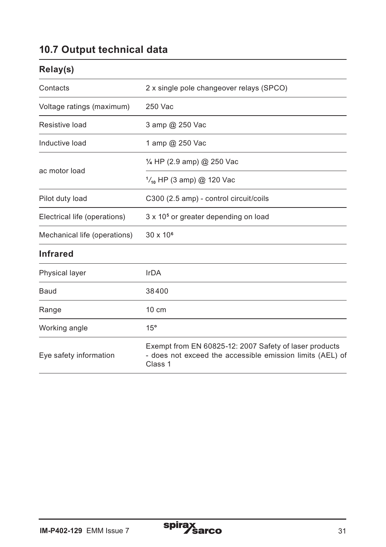## **10.7 Output technical data**

## **Relay(s)**

| 2 x single pole changeover relays (SPCO)                                                                                       |
|--------------------------------------------------------------------------------------------------------------------------------|
| 250 Vac                                                                                                                        |
| 3 amp @ 250 Vac                                                                                                                |
| 1 amp @ 250 Vac                                                                                                                |
| $\frac{1}{4}$ HP (2.9 amp) @ 250 Vac                                                                                           |
| $\frac{1}{10}$ HP (3 amp) @ 120 Vac                                                                                            |
| C300 (2.5 amp) - control circuit/coils                                                                                         |
| 3 x 10 <sup>5</sup> or greater depending on load                                                                               |
| 30 x 10 <sup>6</sup>                                                                                                           |
|                                                                                                                                |
| <b>IrDA</b>                                                                                                                    |
| 38400                                                                                                                          |
| $10 \text{ cm}$                                                                                                                |
| $15^{\circ}$                                                                                                                   |
| Exempt from EN 60825-12: 2007 Safety of laser products<br>- does not exceed the accessible emission limits (AEL) of<br>Class 1 |
|                                                                                                                                |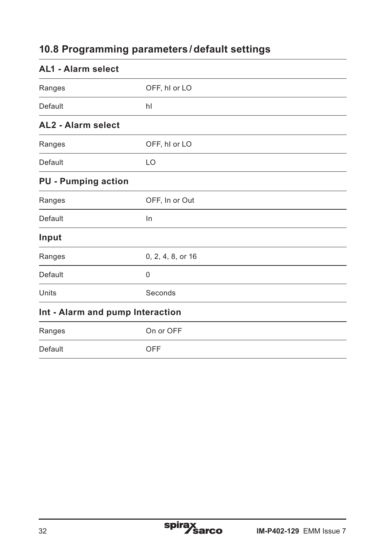## **10.8 Programming parameters /default settings**

## **AL1 - Alarm select**

| Ranges                           | OFF, hI or LO     |  |
|----------------------------------|-------------------|--|
| Default                          | hl                |  |
| <b>AL2 - Alarm select</b>        |                   |  |
| Ranges                           | OFF, hI or LO     |  |
| Default                          | LO                |  |
| <b>PU - Pumping action</b>       |                   |  |
| Ranges                           | OFF, In or Out    |  |
| Default                          | In                |  |
| Input                            |                   |  |
| Ranges                           | 0, 2, 4, 8, or 16 |  |
| Default                          | $\mathbf 0$       |  |
| Units                            | Seconds           |  |
| Int - Alarm and pump Interaction |                   |  |
| Ranges                           | On or OFF         |  |
| Default                          | <b>OFF</b>        |  |
|                                  |                   |  |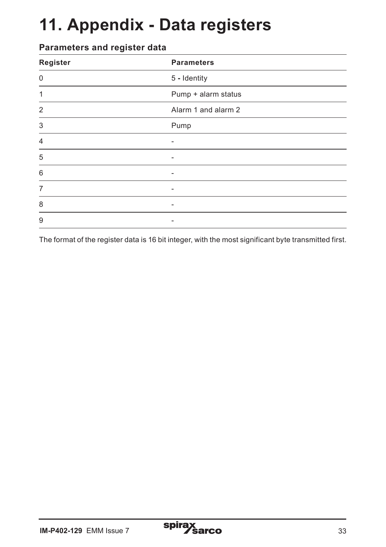# **11. Appendix - Data registers**

### **Parameters and register data**

| Register       | <b>Parameters</b>            |
|----------------|------------------------------|
| $\mathbf 0$    | 5 - Identity                 |
| 1              | Pump + alarm status          |
| 2              | Alarm 1 and alarm 2          |
| 3              | Pump                         |
| $\overline{4}$ | $\qquad \qquad$              |
| 5              | $\overline{\phantom{a}}$     |
| 6              |                              |
| 7              | $\qquad \qquad \blacksquare$ |
| 8              | $\qquad \qquad \blacksquare$ |
| 9              | $\overline{\phantom{a}}$     |

The format of the register data is 16 bit integer, with the most significant byte transmitted first.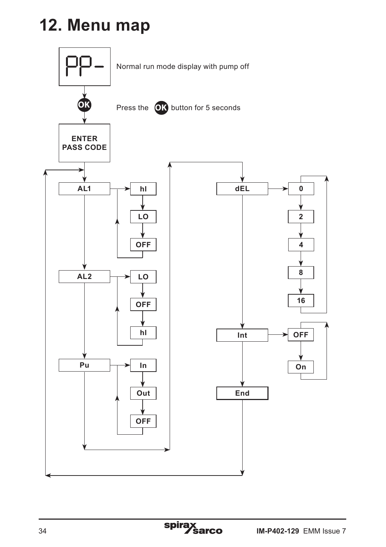# **12. Menu map**

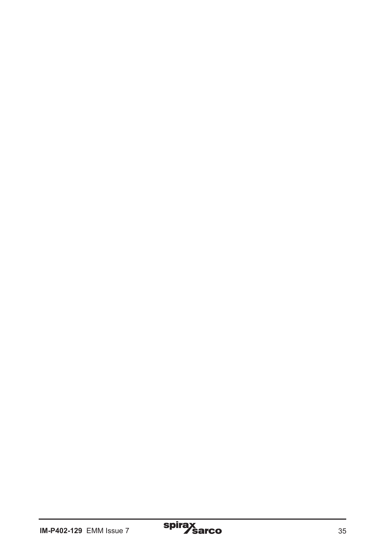